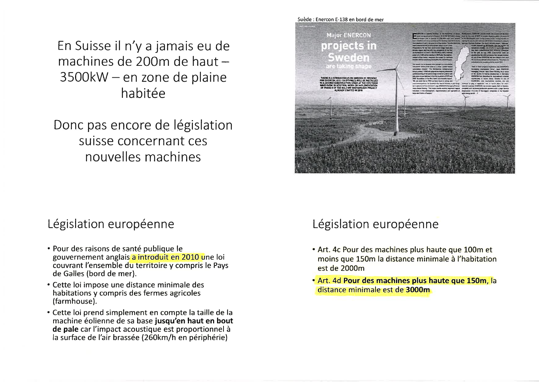En Suisse il n'y a jamais eu de machines de 200m de haut -3500kW - en zone de plaine habitée

Donc pas encore de législation suisse concernant ces nouvelles machines

### Législation européenne

- · Pour des raisons de santé publique le gouvernement anglais a introduit en 2010 une loi couvrant l'ensemble du territoire y compris le Pays de Galles (bord de mer).
- Cette loi impose une distance minimale des habitations y compris des fermes agricoles (farmhouse).
- Cette loi prend simplement en compte la taille de la machine éolienne de sa base jusqu'en haut en bout de pale car l'impact acoustique est proportionnel à la surface de l'air brassée (260km/h en périphérie)

# Suède : Enercon E-138 en bord de mer **Major ENERCON** projects in Sweden

## Législation européenne

- . Art. 4c Pour des machines plus haute que 100m et moins que 150m la distance minimale à l'habitation est de 2000m
- · Art. 4d Pour des machines plus haute que 150m, la distance minimale est de 3000m